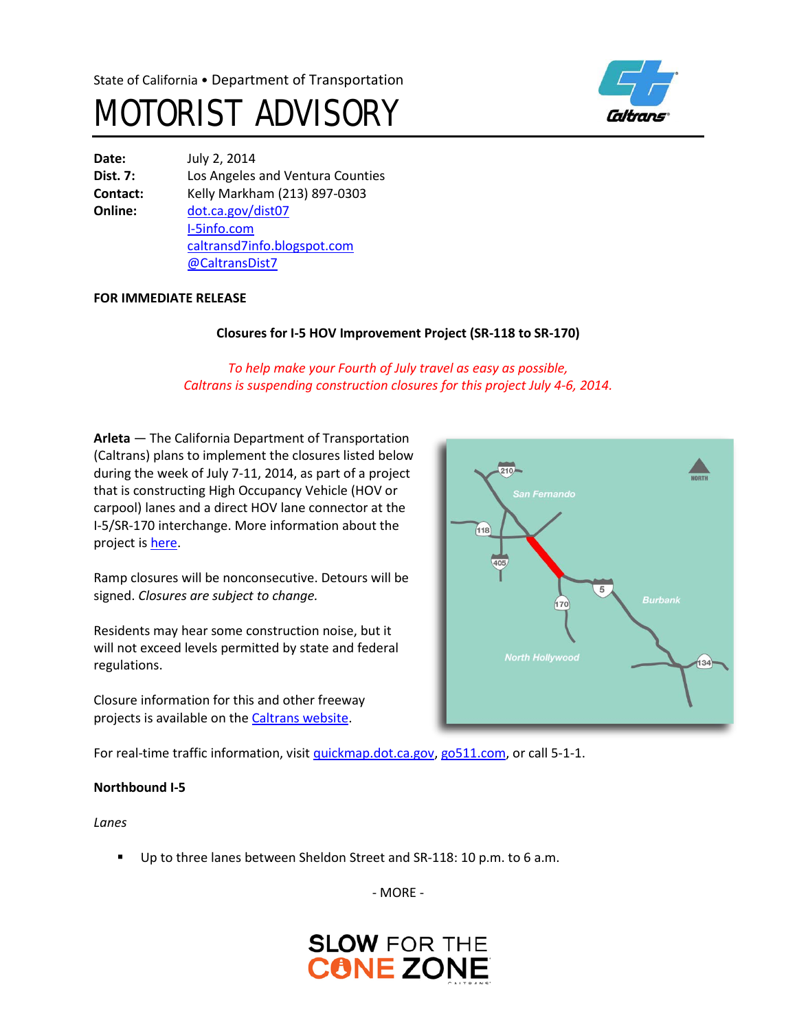



**Date:** July 2, 2014 **Dist. 7:** Los Angeles and Ventura Counties **Contact:** Kelly Markham (213) 897-0303 **Online:** [dot.ca.gov/dist07](http://www.dot.ca.gov/dist07) [I-5info.com](http://www.i-5info.com/) [caltransd7info.blogspot.com](http://caltransd7info.blogspot.com/) @CaltransDist7

### **FOR IMMEDIATE RELEASE**

# **Closures for I-5 HOV Improvement Project (SR-118 to SR-170)**

*To help make your Fourth of July travel as easy as possible, Caltrans is suspending construction closures for this project July 4-6, 2014.*

**Arleta** — The California Department of Transportation (Caltrans) plans to implement the closures listed below during the week of July 7-11, 2014, as part of a project that is constructing High Occupancy Vehicle (HOV or carpool) lanes and a direct HOV lane connector at the I-5/SR-170 interchange. More information about the project i[s here.](http://i-5info.com/ronald-reagan-freeway-sr-118-to-hollywood-freeway-sr-170/)

Ramp closures will be nonconsecutive. Detours will be signed. *Closures are subject to change.*

Residents may hear some construction noise, but it will not exceed levels permitted by state and federal regulations.

Closure information for this and other freeway projects is available on the [Caltrans website.](http://www.lcswebreports.dot.ca.gov/lcswebreports/SearchPreAction.do?district=7)

 $(118)$ 405  $\overline{5}$ 170 **North Hollywood**  $|34|$ 

 $210-$ 

For real-time traffic information, visi[t quickmap.dot.ca.gov,](https://quickmap.dot.ca.gov/) [go511.com,](https://go511.com/) or call 5-1-1.

### **Northbound I-5**

*Lanes*

Up to three lanes between Sheldon Street and SR-118: 10 p.m. to 6 a.m.

- MORE -